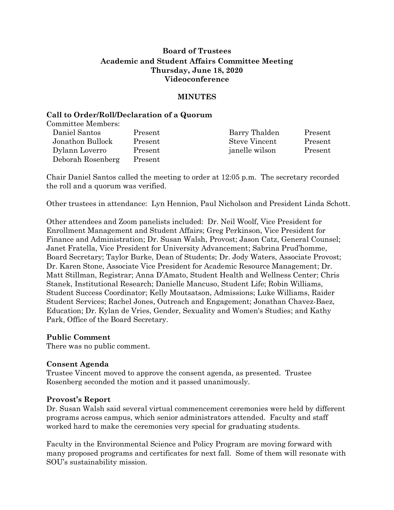# **Board of Trustees Academic and Student Affairs Committee Meeting Thursday, June 18, 2020 Videoconference**

### **MINUTES**

### **Call to Order/Roll/Declaration of a Quorum**

Committee Members:

| Daniel Santos     | Present | Barry Thalden        | Present |
|-------------------|---------|----------------------|---------|
| Jonathon Bullock  | Present | <b>Steve Vincent</b> | Present |
| Dylann Loverro    | Present | janelle wilson       | Present |
| Deborah Rosenberg | Present |                      |         |

Chair Daniel Santos called the meeting to order at 12:05 p.m. The secretary recorded the roll and a quorum was verified.

Other trustees in attendance: Lyn Hennion, Paul Nicholson and President Linda Schott.

Other attendees and Zoom panelists included: Dr. Neil Woolf, Vice President for Enrollment Management and Student Affairs; Greg Perkinson, Vice President for Finance and Administration; Dr. Susan Walsh, Provost; Jason Catz, General Counsel; Janet Fratella, Vice President for University Advancement; Sabrina Prud'homme, Board Secretary; Taylor Burke, Dean of Students; Dr. Jody Waters, Associate Provost; Dr. Karen Stone, Associate Vice President for Academic Resource Management; Dr. Matt Stillman, Registrar; Anna D'Amato, Student Health and Wellness Center; Chris Stanek, Institutional Research; Danielle Mancuso, Student Life; Robin Williams, Student Success Coordinator; Kelly Moutsatson, Admissions; Luke Williams, Raider Student Services; Rachel Jones, Outreach and Engagement; Jonathan Chavez-Baez, Education; Dr. Kylan de Vries, Gender, Sexuality and Women's Studies; and Kathy Park, Office of the Board Secretary.

#### **Public Comment**

There was no public comment.

#### **Consent Agenda**

Trustee Vincent moved to approve the consent agenda, as presented. Trustee Rosenberg seconded the motion and it passed unanimously.

#### **Provost's Report**

Dr. Susan Walsh said several virtual commencement ceremonies were held by different programs across campus, which senior administrators attended. Faculty and staff worked hard to make the ceremonies very special for graduating students.

Faculty in the Environmental Science and Policy Program are moving forward with many proposed programs and certificates for next fall. Some of them will resonate with SOU's sustainability mission.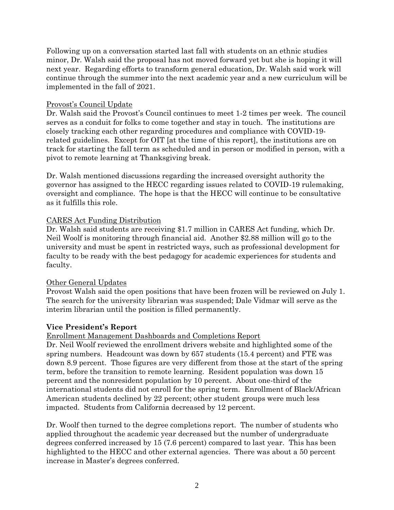Following up on a conversation started last fall with students on an ethnic studies minor, Dr. Walsh said the proposal has not moved forward yet but she is hoping it will next year. Regarding efforts to transform general education, Dr. Walsh said work will continue through the summer into the next academic year and a new curriculum will be implemented in the fall of 2021.

### Provost's Council Update

Dr. Walsh said the Provost's Council continues to meet 1-2 times per week. The council serves as a conduit for folks to come together and stay in touch. The institutions are closely tracking each other regarding procedures and compliance with COVID-19 related guidelines. Except for OIT [at the time of this report], the institutions are on track for starting the fall term as scheduled and in person or modified in person, with a pivot to remote learning at Thanksgiving break.

Dr. Walsh mentioned discussions regarding the increased oversight authority the governor has assigned to the HECC regarding issues related to COVID-19 rulemaking, oversight and compliance. The hope is that the HECC will continue to be consultative as it fulfills this role.

## CARES Act Funding Distribution

Dr. Walsh said students are receiving \$1.7 million in CARES Act funding, which Dr. Neil Woolf is monitoring through financial aid. Another \$2.88 million will go to the university and must be spent in restricted ways, such as professional development for faculty to be ready with the best pedagogy for academic experiences for students and faculty.

#### Other General Updates

Provost Walsh said the open positions that have been frozen will be reviewed on July 1. The search for the university librarian was suspended; Dale Vidmar will serve as the interim librarian until the position is filled permanently.

## **Vice President's Report**

Enrollment Management Dashboards and Completions Report

Dr. Neil Woolf reviewed the enrollment drivers website and highlighted some of the spring numbers. Headcount was down by 657 students (15.4 percent) and FTE was down 8.9 percent. Those figures are very different from those at the start of the spring term, before the transition to remote learning. Resident population was down 15 percent and the nonresident population by 10 percent. About one-third of the international students did not enroll for the spring term. Enrollment of Black/African American students declined by 22 percent; other student groups were much less impacted. Students from California decreased by 12 percent.

Dr. Woolf then turned to the degree completions report. The number of students who applied throughout the academic year decreased but the number of undergraduate degrees conferred increased by 15 (7.6 percent) compared to last year. This has been highlighted to the HECC and other external agencies. There was about a 50 percent increase in Master's degrees conferred.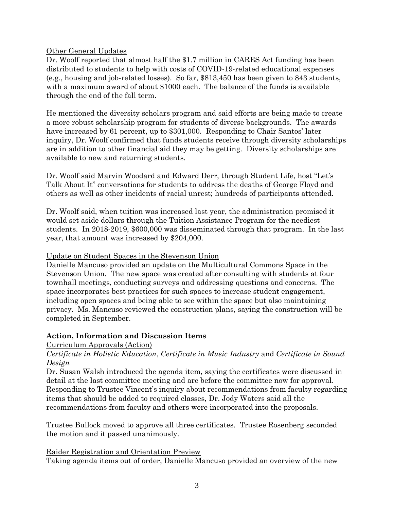### Other General Updates

Dr. Woolf reported that almost half the \$1.7 million in CARES Act funding has been distributed to students to help with costs of COVID-19-related educational expenses (e.g., housing and job-related losses). So far, \$813,450 has been given to 843 students, with a maximum award of about \$1000 each. The balance of the funds is available through the end of the fall term.

He mentioned the diversity scholars program and said efforts are being made to create a more robust scholarship program for students of diverse backgrounds. The awards have increased by 61 percent, up to \$301,000. Responding to Chair Santos' later inquiry, Dr. Woolf confirmed that funds students receive through diversity scholarships are in addition to other financial aid they may be getting. Diversity scholarships are available to new and returning students.

Dr. Woolf said Marvin Woodard and Edward Derr, through Student Life, host "Let's Talk About It" conversations for students to address the deaths of George Floyd and others as well as other incidents of racial unrest; hundreds of participants attended.

Dr. Woolf said, when tuition was increased last year, the administration promised it would set aside dollars through the Tuition Assistance Program for the neediest students. In 2018-2019, \$600,000 was disseminated through that program. In the last year, that amount was increased by \$204,000.

#### Update on Student Spaces in the Stevenson Union

Danielle Mancuso provided an update on the Multicultural Commons Space in the Stevenson Union. The new space was created after consulting with students at four townhall meetings, conducting surveys and addressing questions and concerns. The space incorporates best practices for such spaces to increase student engagement, including open spaces and being able to see within the space but also maintaining privacy. Ms. Mancuso reviewed the construction plans, saying the construction will be completed in September.

#### **Action, Information and Discussion Items**

## Curriculum Approvals (Action)

*Certificate in Holistic Education*, *Certificate in Music Industry* and *Certificate in Sound Design*

Dr. Susan Walsh introduced the agenda item, saying the certificates were discussed in detail at the last committee meeting and are before the committee now for approval. Responding to Trustee Vincent's inquiry about recommendations from faculty regarding items that should be added to required classes, Dr. Jody Waters said all the recommendations from faculty and others were incorporated into the proposals.

Trustee Bullock moved to approve all three certificates. Trustee Rosenberg seconded the motion and it passed unanimously.

#### Raider Registration and Orientation Preview

Taking agenda items out of order, Danielle Mancuso provided an overview of the new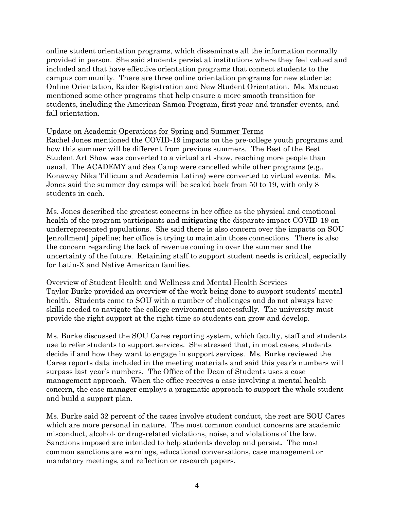online student orientation programs, which disseminate all the information normally provided in person. She said students persist at institutions where they feel valued and included and that have effective orientation programs that connect students to the campus community. There are three online orientation programs for new students: Online Orientation, Raider Registration and New Student Orientation. Ms. Mancuso mentioned some other programs that help ensure a more smooth transition for students, including the American Samoa Program, first year and transfer events, and fall orientation.

#### Update on Academic Operations for Spring and Summer Terms

Rachel Jones mentioned the COVID-19 impacts on the pre-college youth programs and how this summer will be different from previous summers. The Best of the Best Student Art Show was converted to a virtual art show, reaching more people than usual. The ACADEMY and Sea Camp were cancelled while other programs (e.g., Konaway Nika Tillicum and Academia Latina) were converted to virtual events. Ms. Jones said the summer day camps will be scaled back from 50 to 19, with only 8 students in each.

Ms. Jones described the greatest concerns in her office as the physical and emotional health of the program participants and mitigating the disparate impact COVID-19 on underrepresented populations. She said there is also concern over the impacts on SOU [enrollment] pipeline; her office is trying to maintain those connections. There is also the concern regarding the lack of revenue coming in over the summer and the uncertainty of the future. Retaining staff to support student needs is critical, especially for Latin-X and Native American families.

#### Overview of Student Health and Wellness and Mental Health Services

Taylor Burke provided an overview of the work being done to support students' mental health. Students come to SOU with a number of challenges and do not always have skills needed to navigate the college environment successfully. The university must provide the right support at the right time so students can grow and develop.

Ms. Burke discussed the SOU Cares reporting system, which faculty, staff and students use to refer students to support services. She stressed that, in most cases, students decide if and how they want to engage in support services. Ms. Burke reviewed the Cares reports data included in the meeting materials and said this year's numbers will surpass last year's numbers. The Office of the Dean of Students uses a case management approach. When the office receives a case involving a mental health concern, the case manager employs a pragmatic approach to support the whole student and build a support plan.

Ms. Burke said 32 percent of the cases involve student conduct, the rest are SOU Cares which are more personal in nature. The most common conduct concerns are academic misconduct, alcohol- or drug-related violations, noise, and violations of the law. Sanctions imposed are intended to help students develop and persist. The most common sanctions are warnings, educational conversations, case management or mandatory meetings, and reflection or research papers.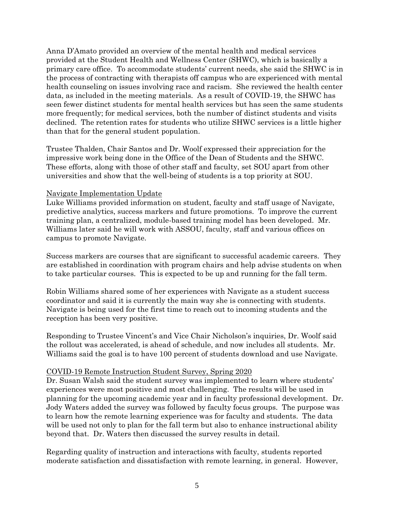Anna D'Amato provided an overview of the mental health and medical services provided at the Student Health and Wellness Center (SHWC), which is basically a primary care office. To accommodate students' current needs, she said the SHWC is in the process of contracting with therapists off campus who are experienced with mental health counseling on issues involving race and racism. She reviewed the health center data, as included in the meeting materials. As a result of COVID-19, the SHWC has seen fewer distinct students for mental health services but has seen the same students more frequently; for medical services, both the number of distinct students and visits declined. The retention rates for students who utilize SHWC services is a little higher than that for the general student population.

Trustee Thalden, Chair Santos and Dr. Woolf expressed their appreciation for the impressive work being done in the Office of the Dean of Students and the SHWC. These efforts, along with those of other staff and faculty, set SOU apart from other universities and show that the well-being of students is a top priority at SOU.

#### Navigate Implementation Update

Luke Williams provided information on student, faculty and staff usage of Navigate, predictive analytics, success markers and future promotions. To improve the current training plan, a centralized, module-based training model has been developed. Mr. Williams later said he will work with ASSOU, faculty, staff and various offices on campus to promote Navigate.

Success markers are courses that are significant to successful academic careers. They are established in coordination with program chairs and help advise students on when to take particular courses. This is expected to be up and running for the fall term.

Robin Williams shared some of her experiences with Navigate as a student success coordinator and said it is currently the main way she is connecting with students. Navigate is being used for the first time to reach out to incoming students and the reception has been very positive.

Responding to Trustee Vincent's and Vice Chair Nicholson's inquiries, Dr. Woolf said the rollout was accelerated, is ahead of schedule, and now includes all students. Mr. Williams said the goal is to have 100 percent of students download and use Navigate.

## COVID-19 Remote Instruction Student Survey, Spring 2020

Dr. Susan Walsh said the student survey was implemented to learn where students' experiences were most positive and most challenging. The results will be used in planning for the upcoming academic year and in faculty professional development. Dr. Jody Waters added the survey was followed by faculty focus groups. The purpose was to learn how the remote learning experience was for faculty and students. The data will be used not only to plan for the fall term but also to enhance instructional ability beyond that. Dr. Waters then discussed the survey results in detail.

Regarding quality of instruction and interactions with faculty, students reported moderate satisfaction and dissatisfaction with remote learning, in general. However,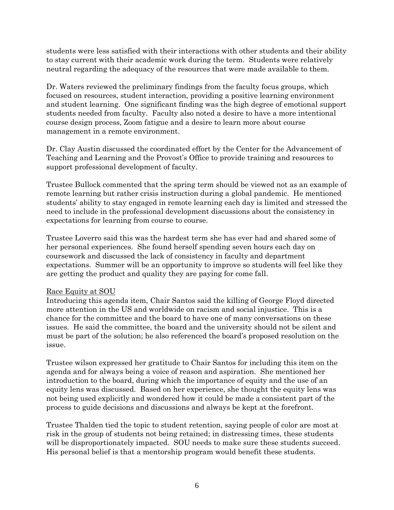students were less satisfied with their interactions with other students and their ability to stay current with their academic work during the term. Students were relatively neutral regarding the adequacy of the resources that were made available to them.

Dr. Waters reviewed the preliminary findings from the faculty focus groups, which focused on resources, student interaction, providing a positive learning environment and student learning. One significant finding was the high degree of emotional support students needed from faculty. Faculty also noted a desire to have a more intentional course design process, Zoom fatigue and a desire to learn more about course management in a remote environment.

Dr. Clay Austin discussed the coordinated effort by the Center for the Advancement of Teaching and Learning and the Provost's Office to provide training and resources to support professional development of faculty.

Trustee Bullock commented that the spring term should be viewed not as an example of remote learning but rather crisis instruction during a global pandemic. He mentioned students' ability to stay engaged in remote learning each day is limited and stressed the need to include in the professional development discussions about the consistency in expectations for learning from course to course.

Trustee Loverro said this was the hardest term she has ever had and shared some of her personal experiences. She found herself spending seven hours each day on coursework and discussed the lack of consistency in faculty and department expectations. Summer will be an opportunity to improve so students will feel like they are getting the product and quality they are paying for come fall.

#### Race Equity at SOU

Introducing this agenda item, Chair Santos said the killing of George Floyd directed more attention in the US and worldwide on racism and social injustice. This is a chance for the committee and the board to have one of many conversations on these issues. He said the committee, the board and the university should not be silent and must be part of the solution; he also referenced the board's proposed resolution on the issue.

Trustee wilson expressed her gratitude to Chair Santos for including this item on the agenda and for always being a voice of reason and aspiration. She mentioned her introduction to the board, during which the importance of equity and the use of an equity lens was discussed. Based on her experience, she thought the equity lens was not being used explicitly and wondered how it could be made a consistent part of the process to guide decisions and discussions and always be kept at the forefront.

Trustee Thalden tied the topic to student retention, saying people of color are most at risk in the group of students not being retained; in distressing times, these students will be disproportionately impacted. SOU needs to make sure these students succeed. His personal belief is that a mentorship program would benefit these students.